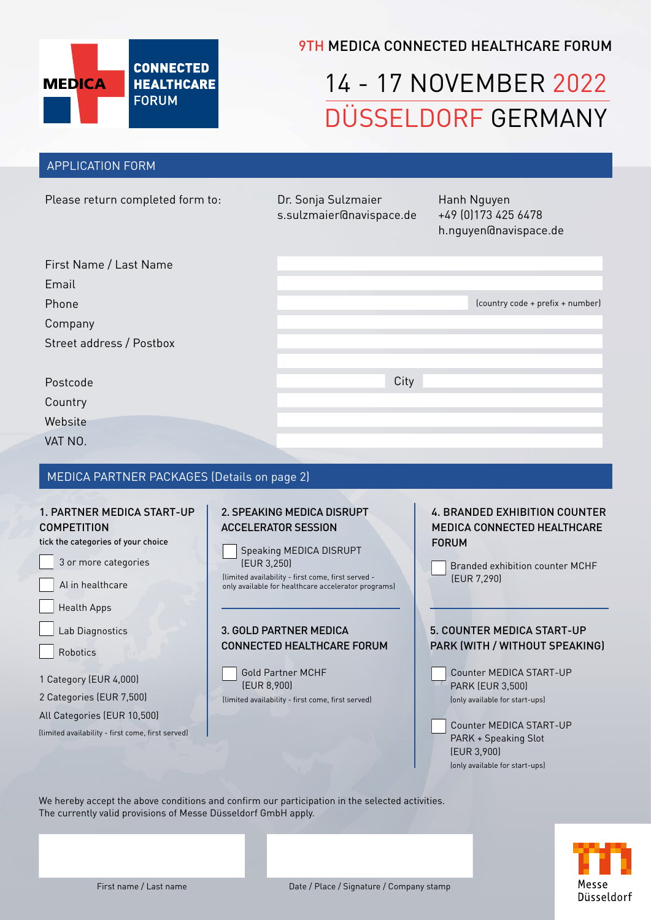

# **9TH MEDICA CONNECTED HEALTHCARE FORUM**

# 14 - 17 NOVEMBER 2022 DÜSSELDORF GERMANY

### APPLICATION FORM

| Please return completed form to:                   | Dr. Sonja Sulzmaier<br>s.sulzmaier@navispace.de | Hanh Nguyen<br>+49 (0) 173 425 6478<br>h.nguyen@navispace.de |  |  |  |  |
|----------------------------------------------------|-------------------------------------------------|--------------------------------------------------------------|--|--|--|--|
| First Name / Last Name                             |                                                 |                                                              |  |  |  |  |
| Email                                              |                                                 |                                                              |  |  |  |  |
| Phone                                              |                                                 | (country code + prefix + number)                             |  |  |  |  |
| Company                                            |                                                 |                                                              |  |  |  |  |
| Street address / Postbox                           |                                                 |                                                              |  |  |  |  |
|                                                    |                                                 |                                                              |  |  |  |  |
| Postcode                                           | City                                            |                                                              |  |  |  |  |
| Country                                            |                                                 |                                                              |  |  |  |  |
| Website                                            |                                                 |                                                              |  |  |  |  |
| VAT NO.                                            |                                                 |                                                              |  |  |  |  |
|                                                    |                                                 |                                                              |  |  |  |  |
| <b>MEDICA PARTNER PACKAGES (Details on page 2)</b> |                                                 |                                                              |  |  |  |  |

### 1. PARTNER MEDICA START-UP **COMPETITION**

tick the categories of your choice

 AI in healthcare Health Apps Lab Diagnostics 1 Category (EUR 4,000) 2 Categories (EUR 7,500) All Categories (EUR 10,500) Robotics 3 or more categories

(limited availability - first come, first served)

# 2. SPEAKING MEDICA DISRUPT ACCELERATOR SESSION

Speaking MEDICA DISRUPT (EUR 3,250)

(limited availability - first come, first served only available for healthcare accelerator programs)

### 3. GOLD PARTNER MEDICA CONNECTED HEALTHCARE FORUM



4. BRANDED EXHIBITION COUNTER MEDICA CONNECTED HEALTHCARE FORUM

Branded exhibition counter MCHF (EUR 7,290)

### 5. COUNTER MEDICA START-UP PARK (WITH / WITHOUT SPEAKING)

 Counter MEDICA START-UP PARK (EUR 3,500) (only available for start-ups)

 Counter MEDICA START-UP PARK + Speaking Slot (EUR 3,900) (only available for start-ups)

We hereby accept the above conditions and confirm our participation in the selected activities. The currently valid provisions of Messe Düsseldorf GmbH apply.